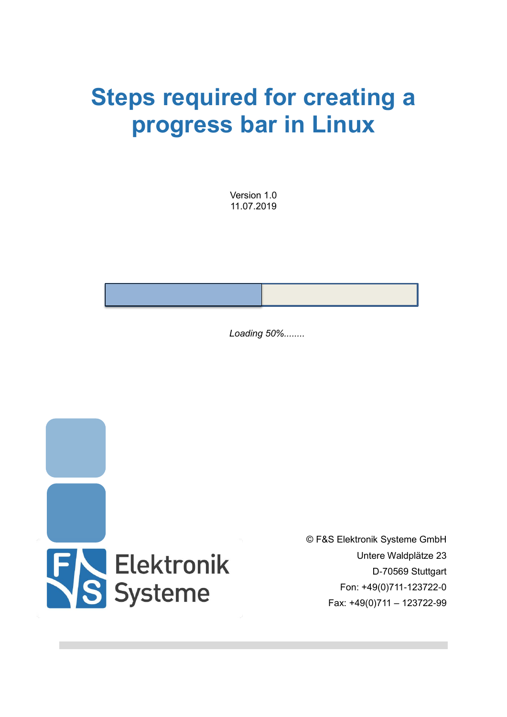# **Steps required for creating a progress bar in Linux**

Version 1.0 11.07.2019

*Loading 50%........*



© F&S Elektronik Systeme GmbH Untere Waldplätze 23 D-70569 Stuttgart Fon: +49(0)711-123722-0 Fax: +49(0)711 – 123722-99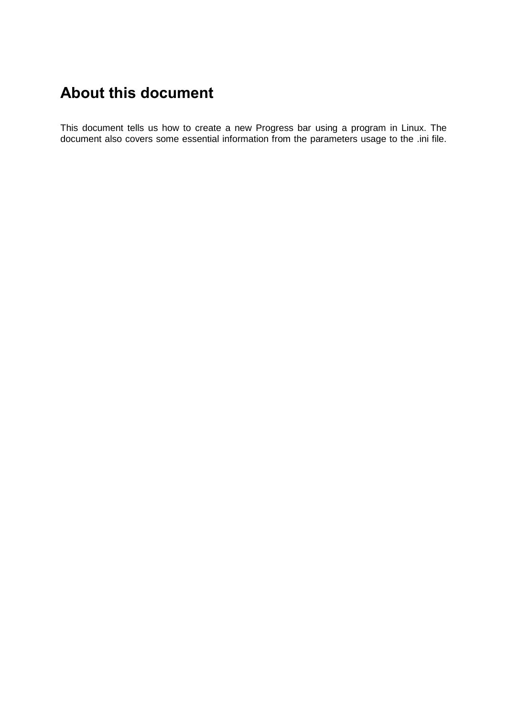## <span id="page-1-0"></span>**About this document**

This document tells us how to create a new Progress bar using a program in Linux. The document also covers some essential information from the parameters usage to the .ini file.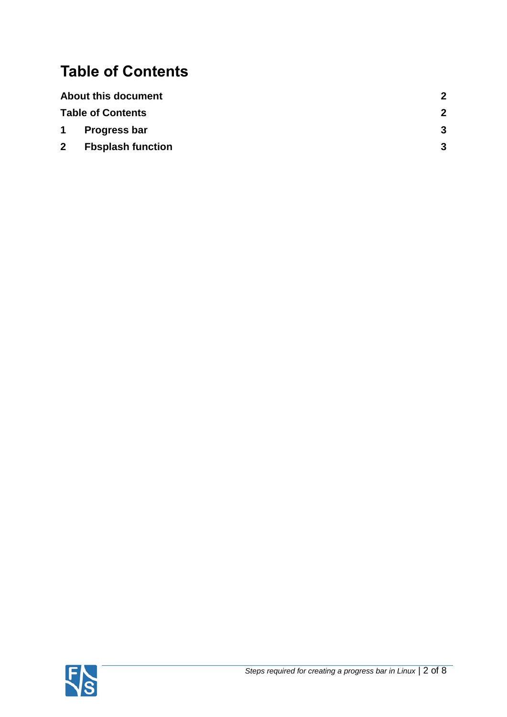## <span id="page-2-0"></span>**Table of Contents**

| <b>About this document</b> | 2 |
|----------------------------|---|
| <b>Table of Contents</b>   | 2 |
| 1 Progress bar             | 3 |
| 2 Fbsplash function        | 3 |

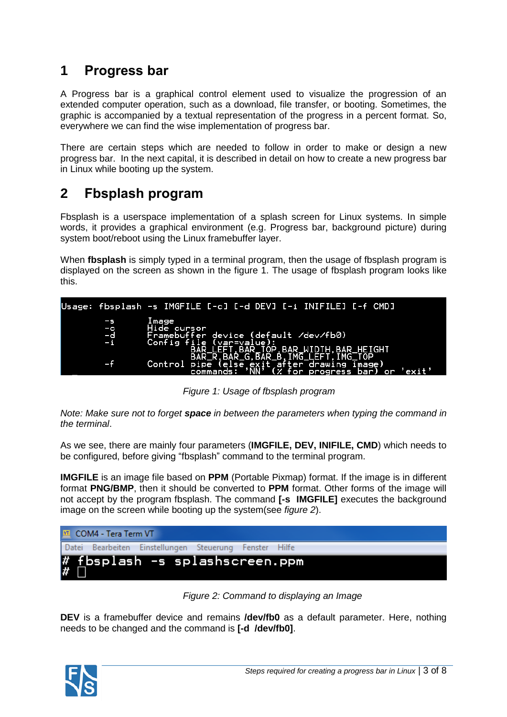### <span id="page-3-0"></span>**1 Progress bar**

A Progress bar is a graphical control element used to visualize the progression of an extended computer operation, such as a download, file transfer, or booting. Sometimes, the graphic is accompanied by a textual representation of the progress in a percent format. So, everywhere we can find the wise implementation of progress bar.

There are certain steps which are needed to follow in order to make or design a new progress bar. In the next capital, it is described in detail on how to create a new progress bar in Linux while booting up the system.

#### <span id="page-3-1"></span>**2 Fbsplash program**

Fbsplash is a userspace implementation of a splash screen for Linux systems. In simple words, it provides a graphical environment (e.g. Progress bar, background picture) during system boot/reboot using the Linux framebuffer layer.

When **fbsplash** is simply typed in a terminal program, then the usage of fbsplash program is displayed on the screen as shown in the figure 1. The usage of fbsplash program looks like this.



*Figure 1: Usage of fbsplash program*

*Note: Make sure not to forget space in between the parameters when typing the command in the terminal*.

As we see, there are mainly four parameters (**IMGFILE, DEV, INIFILE, CMD**) which needs to be configured, before giving "fbsplash" command to the terminal program.

**IMGFILE** is an image file based on **PPM** (Portable Pixmap) format. If the image is in different format **PNG/BMP**, then it should be converted to **PPM** format. Other forms of the image will not accept by the program fbsplash. The command **[-s IMGFILE]** executes the background image on the screen while booting up the system(see *figure 2*).

| <b>VI</b> COM4 - Tera Term VT |  |                                                        |  |  |  |  |
|-------------------------------|--|--------------------------------------------------------|--|--|--|--|
|                               |  | Datei Bearbeiten Einstellungen Steuerung Fenster Hilfe |  |  |  |  |
|                               |  | # fbsplash -s splashscreen.ppm<br># $\square$          |  |  |  |  |

*Figure 2: Command to displaying an Image*

**DEV** is a framebuffer device and remains **/dev/fb0** as a default parameter. Here, nothing needs to be changed and the command is **[-d /dev/fb0]**.

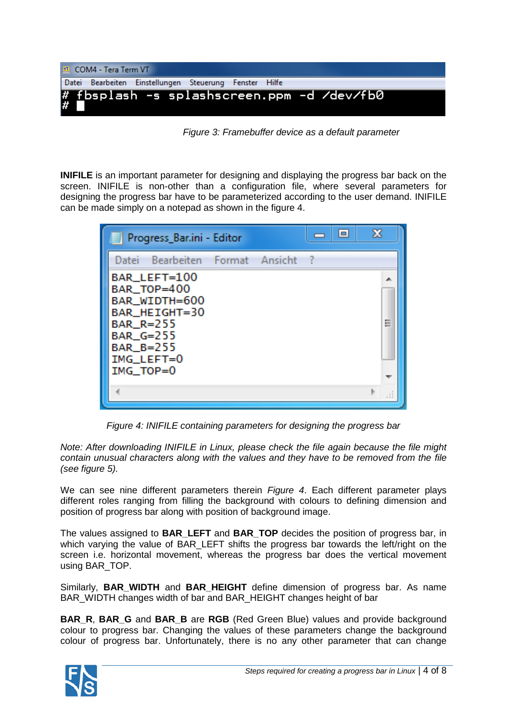

*Figure 3: Framebuffer device as a default parameter* 

**INIFILE** is an important parameter for designing and displaying the progress bar back on the screen. INIFILE is non-other than a configuration file, where several parameters for designing the progress bar have to be parameterized according to the user demand. INIFILE can be made simply on a notepad as shown in the figure 4.

| Progress_Bar.ini - Editor                                                                                                       |  | $\Box$ | Ж |   |
|---------------------------------------------------------------------------------------------------------------------------------|--|--------|---|---|
| Bearbeiten Format Ansicht<br>Datei                                                                                              |  |        |   |   |
| BAR_LEFT=100<br>BAR_TOP=400<br>BAR WIDTH=600<br>BAR_HEIGHT=30<br>BAR_R=255<br>BAR_G=255<br>BAR_B=255<br>IMG_LEFT=0<br>IMG_TOP=0 |  |        |   | Ξ |
|                                                                                                                                 |  |        |   |   |

*Figure 4: INIFILE containing parameters for designing the progress bar*

*Note: After downloading INIFILE in Linux, please check the file again because the file might contain unusual characters along with the values and they have to be removed from the file (see figure 5).* 

We can see nine different parameters therein *Figure 4*. Each different parameter plays different roles ranging from filling the background with colours to defining dimension and position of progress bar along with position of background image.

The values assigned to **BAR\_LEFT** and **BAR\_TOP** decides the position of progress bar, in which varying the value of BAR\_LEFT shifts the progress bar towards the left/right on the screen i.e. horizontal movement, whereas the progress bar does the vertical movement using BAR\_TOP.

Similarly, **BAR\_WIDTH** and **BAR\_HEIGHT** define dimension of progress bar. As name BAR\_WIDTH changes width of bar and BAR\_HEIGHT changes height of bar

**BAR\_R**, **BAR\_G** and **BAR\_B** are **RGB** (Red Green Blue) values and provide background colour to progress bar. Changing the values of these parameters change the background colour of progress bar. Unfortunately, there is no any other parameter that can change

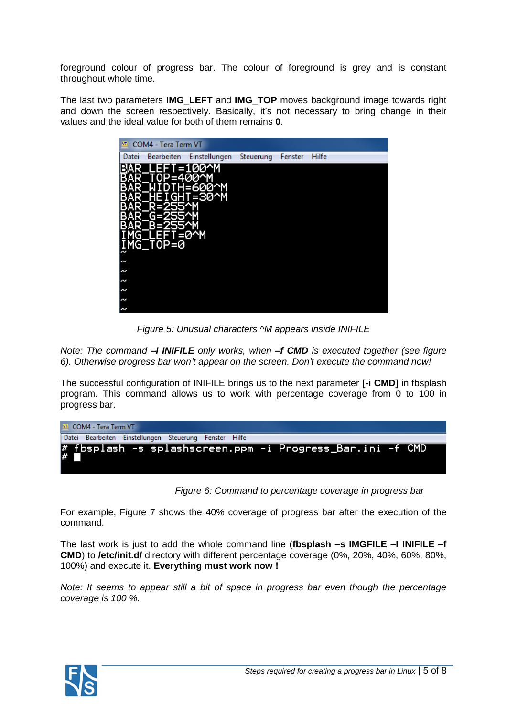foreground colour of progress bar. The colour of foreground is grey and is constant throughout whole time.

The last two parameters **IMG\_LEFT** and **IMG\_TOP** moves background image towards right and down the screen respectively. Basically, it's not necessary to bring change in their values and the ideal value for both of them remains **0**.

| COM4 - Tera Term VT<br>VT.                                             |                                          |           |         |       |
|------------------------------------------------------------------------|------------------------------------------|-----------|---------|-------|
| <b>Bearbeiten</b><br>Datei                                             | Einstellungen                            | Steuerung | Fenster | Hilfe |
| EET<br>ı<br>T0P=400^M<br>G<br>TOP=0<br>G<br>ξ<br>∼<br>N<br>N<br>N<br>N | '=100^M<br>H-600^M<br>=30^M<br>ı<br>=0^M |           |         |       |

*Figure 5: Unusual characters ^M appears inside INIFILE*

*Note: The command –I INIFILE only works, when –f CMD is executed together (see figure 6). Otherwise progress bar won't appear on the screen. Don't execute the command now!*

The successful configuration of INIFILE brings us to the next parameter **[-i CMD]** in fbsplash program. This command allows us to work with percentage coverage from 0 to 100 in progress bar.

| <b>MI</b> COM4 - Tera Term VT |                                                        |  |  |                                                                   |  |  |
|-------------------------------|--------------------------------------------------------|--|--|-------------------------------------------------------------------|--|--|
|                               | Datei Bearbeiten Einstellungen Steuerung Fenster Hilfe |  |  |                                                                   |  |  |
|                               |                                                        |  |  | # fbsplash -s splashscreen.ppm -i Progress_Bar.ini -f CMD <br># ■ |  |  |

| Figure 6: Command to percentage coverage in progress bar |  |  |  |  |
|----------------------------------------------------------|--|--|--|--|
|----------------------------------------------------------|--|--|--|--|

For example, Figure 7 shows the 40% coverage of progress bar after the execution of the command.

The last work is just to add the whole command line (**fbsplash –s IMGFILE –I INIFILE –f CMD**) to **/etc/init.d/** directory with different percentage coverage (0%, 20%, 40%, 60%, 80%, 100%) and execute it. **Everything must work now !**

*Note: It seems to appear still a bit of space in progress bar even though the percentage coverage is 100 %.* 

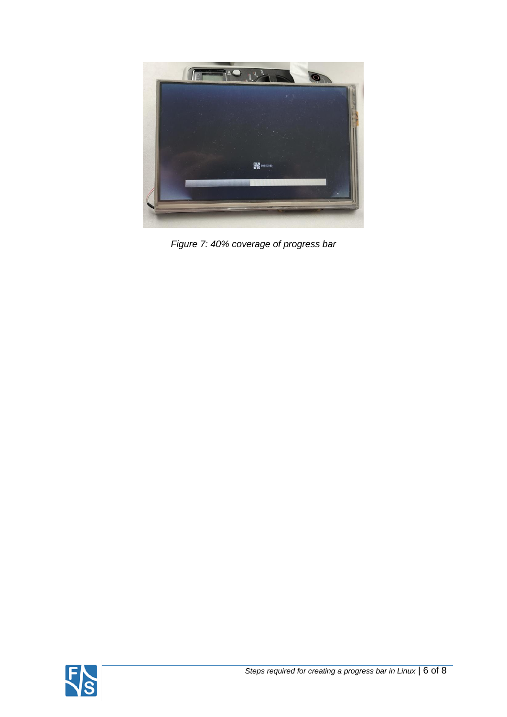

*Figure 7: 40% coverage of progress bar*